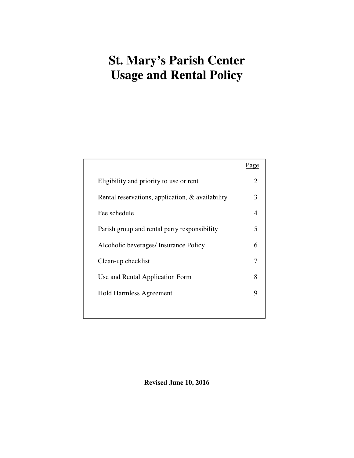# **St. Mary's Parish Center Usage and Rental Policy**

|                                                  | Page                  |
|--------------------------------------------------|-----------------------|
| Eligibility and priority to use or rent          | $\mathcal{D}_{\cdot}$ |
| Rental reservations, application, & availability | 3                     |
| Fee schedule                                     | 4                     |
| Parish group and rental party responsibility     | 5                     |
| Alcoholic beverages/ Insurance Policy            | 6                     |
| Clean-up checklist                               | 7                     |
| Use and Rental Application Form                  | 8                     |
| <b>Hold Harmless Agreement</b>                   | 9                     |
|                                                  |                       |

**Revised June 10, 2016**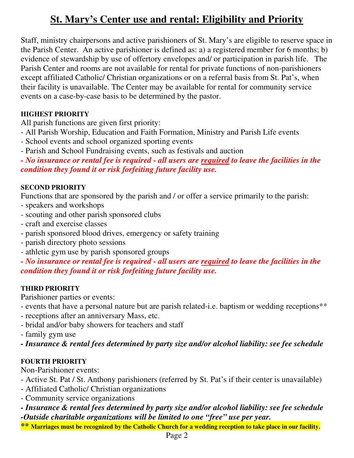# **St. Mary's Center use and rental: Eligibility and Priority**

Staff, ministry chairpersons and active parishioners of St. Mary's are eligible to reserve space in the Parish Center. An active parishioner is defined as: a) a registered member for 6 months; b) evidence of stewardship by use of offertory envelopes and/ or participation in parish life. The Parish Center and rooms are not available for rental for private functions of non-parishioners except affiliated Catholic/ Christian organizations or on a referral basis from St. Pat's, when their facility is unavailable. The Center may be available for rental for community service events on a case-by-case basis to be determined by the pastor.

# **HIGHEST PRIORITY**

All parish functions are given first priority:

- All Parish Worship, Education and Faith Formation, Ministry and Parish Life events
- School events and school organized sporting events
- Parish and School Fundraising events, such as festivals and auction

*- No insurance or rental fee is required - all users are required to leave the facilities in the condition they found it or risk forfeiting future facility use.* 

# **SECOND PRIORITY**

Functions that are sponsored by the parish and / or offer a service primarily to the parish:

- speakers and workshops
- scouting and other parish sponsored clubs
- craft and exercise classes
- parish sponsored blood drives, emergency or safety training
- parish directory photo sessions
- athletic gym use by parish sponsored groups

*- No insurance or rental fee is required - all users are required to leave the facilities in the condition they found it or risk forfeiting future facility use.* 

# **THIRD PRIORITY**

Parishioner parties or events:

- events that have a personal nature but are parish related-i.e. baptism or wedding receptions\*\*
- receptions after an anniversary Mass, etc.
- bridal and/or baby showers for teachers and staff

- family gym use

*- Insurance & rental fees determined by party size and/or alcohol liability: see fee schedule* 

# **FOURTH PRIORITY**

Non-Parishioner events:

- Active St. Pat / St. Anthony parishioners (referred by St. Pat's if their center is unavailable)
- Affiliated Catholic/ Christian organizations
- Community service organizations
- *Insurance & rental fees determined by party size and/or alcohol liability: see fee schedule -Outside charitable organizations will be limited to one "free" use per year.*
- **\*\* Marriages must be recognized by the Catholic Church for a wedding reception to take place in our facility.**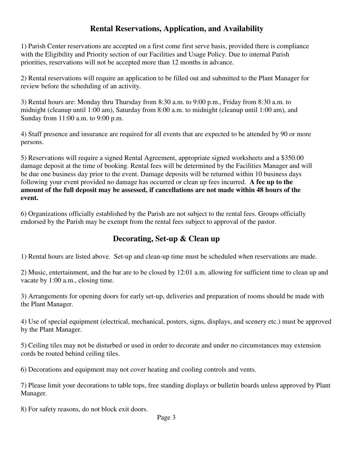# **Rental Reservations, Application, and Availability**

1) Parish Center reservations are accepted on a first come first serve basis, provided there is compliance with the Eligibility and Priority section of our Facilities and Usage Policy. Due to internal Parish priorities, reservations will not be accepted more than 12 months in advance.

2) Rental reservations will require an application to be filled out and submitted to the Plant Manager for review before the scheduling of an activity.

3) Rental hours are: Monday thru Thursday from 8:30 a.m. to 9:00 p.m., Friday from 8:30 a.m. to midnight (cleanup until 1:00 am), Saturday from 8:00 a.m. to midnight (cleanup until 1:00 am), and Sunday from 11:00 a.m. to 9:00 p.m.

4) Staff presence and insurance are required for all events that are expected to be attended by 90 or more persons.

5) Reservations will require a signed Rental Agreement, appropriate signed worksheets and a \$350.00 damage deposit at the time of booking. Rental fees will be determined by the Facilities Manager and will be due one business day prior to the event. Damage deposits will be returned within 10 business days following your event provided no damage has occurred or clean up fees incurred. **A fee up to the amount of the full deposit may be assessed, if cancellations are not made within 48 hours of the event.** 

6) Organizations officially established by the Parish are not subject to the rental fees. Groups officially endorsed by the Parish may be exempt from the rental fees subject to approval of the pastor.

### **Decorating, Set-up & Clean up**

1) Rental hours are listed above. Set-up and clean-up time must be scheduled when reservations are made.

2) Music, entertainment, and the bar are to be closed by 12:01 a.m. allowing for sufficient time to clean up and vacate by 1:00 a.m., closing time.

3) Arrangements for opening doors for early set-up, deliveries and preparation of rooms should be made with the Plant Manager.

4) Use of special equipment (electrical, mechanical, posters, signs, displays, and scenery etc.) must be approved by the Plant Manager.

5) Ceiling tiles may not be disturbed or used in order to decorate and under no circumstances may extension cords be routed behind ceiling tiles.

6) Decorations and equipment may not cover heating and cooling controls and vents.

7) Please limit your decorations to table tops, free standing displays or bulletin boards unless approved by Plant Manager.

8) For safety reasons, do not block exit doors.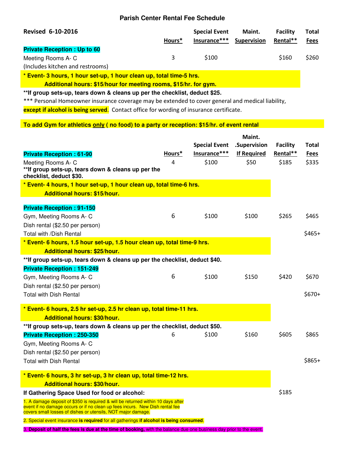#### **Parish Center Rental Fee Schedule**

| <b>Revised 6-10-2016</b>           |        | <b>Special Event</b> | Maint.             | <b>Facility</b> | Total       |
|------------------------------------|--------|----------------------|--------------------|-----------------|-------------|
|                                    | Hours* | lnsurance***         | <b>Supervision</b> | Rental**        | <b>Fees</b> |
| <b>Private Reception: Up to 60</b> |        |                      |                    |                 |             |
| Meeting Rooms A-C                  | 3      | \$100                |                    | \$160           | \$260       |
| (Includes kitchen and restrooms)   |        |                      |                    |                 |             |
|                                    |        |                      |                    |                 |             |

**\* Event- 3 hours, 1 hour set-up, 1 hour clean up, total time-5 hrs.** 

 **Additional hours: \$15/hour for meeting rooms, \$15/hr. for gym.** 

**\*\*If group sets-up, tears down & cleans up per the checklist, deduct \$25.** 

\*\*\* Personal Homeowner insurance coverage may be extended to cover general and medical liability,

except if alcohol is being served. Contact office for wording of insurance certificate.

#### **To add Gym for athletics only ( no food) to a party or reception: \$15/hr. of event rental**

|                                                                                                                                              |        |                      | Maint.             |                 |             |
|----------------------------------------------------------------------------------------------------------------------------------------------|--------|----------------------|--------------------|-----------------|-------------|
|                                                                                                                                              |        | <b>Special Event</b> | .Supervision       | <b>Facility</b> | Total       |
| <b>Private Reception: 61-90</b>                                                                                                              | Hours* | Insurance***         | <b>If Required</b> | Rental**        | <b>Fees</b> |
| Meeting Rooms A- C                                                                                                                           | 4      | \$100                | \$50               | \$185           | \$335       |
| **If group sets-up, tears down & cleans up per the<br>checklist, deduct \$30.                                                                |        |                      |                    |                 |             |
| * Event- 4 hours, 1 hour set-up, 1 hour clean up, total time-6 hrs.                                                                          |        |                      |                    |                 |             |
| <b>Additional hours: \$15/hour.</b>                                                                                                          |        |                      |                    |                 |             |
|                                                                                                                                              |        |                      |                    |                 |             |
| <b>Private Reception: 91-150</b>                                                                                                             |        |                      |                    |                 |             |
| Gym, Meeting Rooms A- C                                                                                                                      | 6      | \$100                | \$100              | \$265           | \$465       |
| Dish rental (\$2.50 per person)                                                                                                              |        |                      |                    |                 |             |
| Total with /Dish Rental                                                                                                                      |        |                      |                    |                 | $$465+$     |
| * Event- 6 hours, 1.5 hour set-up, 1.5 hour clean up, total time-9 hrs.                                                                      |        |                      |                    |                 |             |
| <b>Additional hours: \$25/hour.</b>                                                                                                          |        |                      |                    |                 |             |
| ** If group sets-up, tears down & cleans up per the checklist, deduct \$40.                                                                  |        |                      |                    |                 |             |
| <b>Private Reception: 151-249</b>                                                                                                            |        |                      |                    |                 |             |
| Gym, Meeting Rooms A- C                                                                                                                      | 6      | \$100                | \$150              | \$420           | \$670       |
| Dish rental (\$2.50 per person)                                                                                                              |        |                      |                    |                 |             |
| <b>Total with Dish Rental</b>                                                                                                                |        |                      |                    |                 | $$670+$     |
| * Event- 6 hours, 2.5 hr set-up, 2.5 hr clean up, total time-11 hrs.                                                                         |        |                      |                    |                 |             |
| <b>Additional hours: \$30/hour.</b>                                                                                                          |        |                      |                    |                 |             |
| **If group sets-up, tears down & cleans up per the checklist, deduct \$50.                                                                   |        |                      |                    |                 |             |
| <b>Private Reception: 250-350</b>                                                                                                            | 6      | \$100                | \$160              | \$605           | \$865       |
| Gym, Meeting Rooms A-C                                                                                                                       |        |                      |                    |                 |             |
| Dish rental (\$2.50 per person)                                                                                                              |        |                      |                    |                 |             |
| <b>Total with Dish Rental</b>                                                                                                                |        |                      |                    |                 | $$865+$     |
| * Event- 6 hours, 3 hr set-up, 3 hr clean up, total time-12 hrs.                                                                             |        |                      |                    |                 |             |
| <b>Additional hours: \$30/hour.</b>                                                                                                          |        |                      |                    |                 |             |
| If Gathering Space Used for food or alcohol:                                                                                                 |        |                      |                    | \$185           |             |
| 1. A damage deposit of \$350 is required & will be returned within 10 days after                                                             |        |                      |                    |                 |             |
| event if no damage occurs or if no clean up fees incurs. New Dish rental fee<br>covers small losses of dishes or utensils, NOT major damage. |        |                      |                    |                 |             |
| 2. Special event insurance is required for all gatherings if alcohol is being consumed.                                                      |        |                      |                    |                 |             |
|                                                                                                                                              |        |                      |                    |                 |             |

3. **Deposit of half the fees is due at the time of booking,** with the balance due one business day prior to the event.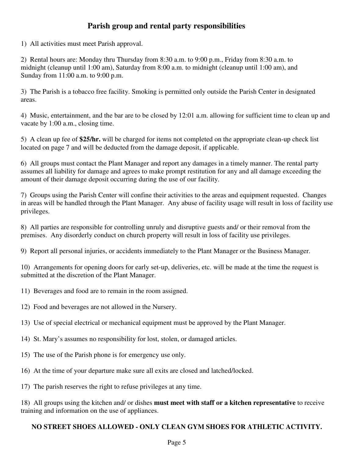# **Parish group and rental party responsibilities**

1) All activities must meet Parish approval.

2) Rental hours are: Monday thru Thursday from 8:30 a.m. to 9:00 p.m., Friday from 8:30 a.m. to midnight (cleanup until 1:00 am), Saturday from 8:00 a.m. to midnight (cleanup until 1:00 am), and Sunday from 11:00 a.m. to 9:00 p.m.

3) The Parish is a tobacco free facility. Smoking is permitted only outside the Parish Center in designated areas.

4) Music, entertainment, and the bar are to be closed by 12:01 a.m. allowing for sufficient time to clean up and vacate by 1:00 a.m., closing time.

5) A clean up fee of **\$25/hr.** will be charged for items not completed on the appropriate clean-up check list located on page 7 and will be deducted from the damage deposit, if applicable.

6) All groups must contact the Plant Manager and report any damages in a timely manner. The rental party assumes all liability for damage and agrees to make prompt restitution for any and all damage exceeding the amount of their damage deposit occurring during the use of our facility.

7) Groups using the Parish Center will confine their activities to the areas and equipment requested. Changes in areas will be handled through the Plant Manager. Any abuse of facility usage will result in loss of facility use privileges.

8) All parties are responsible for controlling unruly and disruptive guests and/ or their removal from the premises. Any disorderly conduct on church property will result in loss of facility use privileges.

9) Report all personal injuries, or accidents immediately to the Plant Manager or the Business Manager.

10) Arrangements for opening doors for early set-up, deliveries, etc. will be made at the time the request is submitted at the discretion of the Plant Manager.

- 11) Beverages and food are to remain in the room assigned.
- 12) Food and beverages are not allowed in the Nursery.
- 13) Use of special electrical or mechanical equipment must be approved by the Plant Manager.
- 14) St. Mary's assumes no responsibility for lost, stolen, or damaged articles.
- 15) The use of the Parish phone is for emergency use only.
- 16) At the time of your departure make sure all exits are closed and latched/locked.
- 17) The parish reserves the right to refuse privileges at any time.

18) All groups using the kitchen and/ or dishes **must meet with staff or a kitchen representative** to receive training and information on the use of appliances.

#### **NO STREET SHOES ALLOWED - ONLY CLEAN GYM SHOES FOR ATHLETIC ACTIVITY.**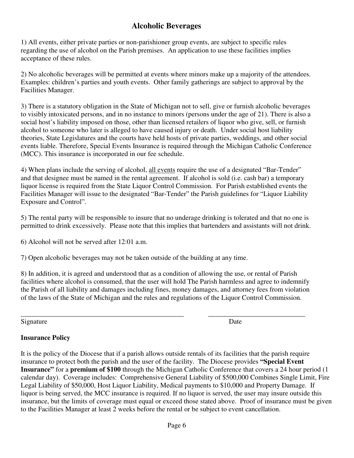# **Alcoholic Beverages**

1) All events, either private parties or non-parishioner group events, are subject to specific rules regarding the use of alcohol on the Parish premises. An application to use these facilities implies acceptance of these rules.

2) No alcoholic beverages will be permitted at events where minors make up a majority of the attendees. Examples: children's parties and youth events. Other family gatherings are subject to approval by the Facilities Manager.

3) There is a statutory obligation in the State of Michigan not to sell, give or furnish alcoholic beverages to visibly intoxicated persons, and in no instance to minors (persons under the age of 21). There is also a social host's liability imposed on those, other than licensed retailers of liquor who give, sell, or furnish alcohol to someone who later is alleged to have caused injury or death. Under social host liability theories, State Legislatures and the courts have held hosts of private parties, weddings, and other social events liable. Therefore, Special Events Insurance is required through the Michigan Catholic Conference (MCC). This insurance is incorporated in our fee schedule.

4) When plans include the serving of alcohol, all events require the use of a designated "Bar-Tender" and that designee must be named in the rental agreement. If alcohol is sold (i.e. cash bar) a temporary liquor license is required from the State Liquor Control Commission. For Parish established events the Facilities Manager will issue to the designated "Bar-Tender" the Parish guidelines for "Liquor Liability Exposure and Control".

5) The rental party will be responsible to insure that no underage drinking is tolerated and that no one is permitted to drink excessively. Please note that this implies that bartenders and assistants will not drink.

6) Alcohol will not be served after 12:01 a.m.

7) Open alcoholic beverages may not be taken outside of the building at any time.

8) In addition, it is agreed and understood that as a condition of allowing the use, or rental of Parish facilities where alcohol is consumed, that the user will hold The Parish harmless and agree to indemnify the Parish of all liability and damages including fines, money damages, and attorney fees from violation of the laws of the State of Michigan and the rules and regulations of the Liquor Control Commission.

\_\_\_\_\_\_\_\_\_\_\_\_\_\_\_\_\_\_\_\_\_\_\_\_\_\_\_\_\_\_\_\_\_\_\_\_\_\_\_\_\_\_\_\_\_\_\_ \_\_\_\_\_\_\_\_\_\_\_\_\_\_\_\_\_\_\_\_\_\_\_\_\_\_\_\_

Signature Date

#### **Insurance Policy**

It is the policy of the Diocese that if a parish allows outside rentals of its facilities that the parish require insurance to protect both the parish and the user of the facility. The Diocese provides **"Special Event Insurance"** for a **premium of \$100** through the Michigan Catholic Conference that covers a 24 hour period (1 calendar day). Coverage includes: Comprehensive General Liability of \$500,000 Combines Single Limit, Fire Legal Liability of \$50,000, Host Liquor Liability, Medical payments to \$10,000 and Property Damage. If liquor is being served, the MCC insurance is required. If no liquor is served, the user may insure outside this insurance, but the limits of coverage must equal or exceed those stated above. Proof of insurance must be given to the Facilities Manager at least 2 weeks before the rental or be subject to event cancellation.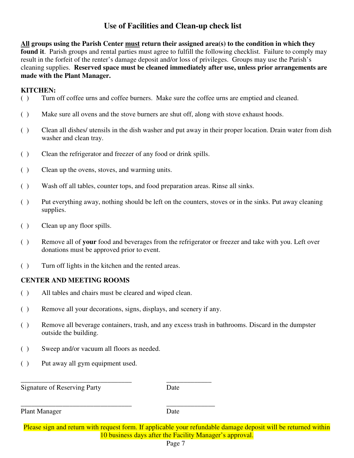# **Use of Facilities and Clean-up check list**

**All groups using the Parish Center must return their assigned area(s) to the condition in which they found it**. Parish groups and rental parties must agree to fulfill the following checklist. Failure to comply may result in the forfeit of the renter's damage deposit and/or loss of privileges. Groups may use the Parish's cleaning supplies. **Reserved space must be cleaned immediately after use, unless prior arrangements are made with the Plant Manager.** 

#### **KITCHEN:**

- ( ) Turn off coffee urns and coffee burners. Make sure the coffee urns are emptied and cleaned.
- ( ) Make sure all ovens and the stove burners are shut off, along with stove exhaust hoods.
- ( ) Clean all dishes/ utensils in the dish washer and put away in their proper location. Drain water from dish washer and clean tray.
- ( ) Clean the refrigerator and freezer of any food or drink spills.
- ( ) Clean up the ovens, stoves, and warming units.
- ( ) Wash off all tables, counter tops, and food preparation areas. Rinse all sinks.
- ( ) Put everything away, nothing should be left on the counters, stoves or in the sinks. Put away cleaning supplies.
- ( ) Clean up any floor spills.
- ( ) Remove all of **your** food and beverages from the refrigerator or freezer and take with you. Left over donations must be approved prior to event.
- ( ) Turn off lights in the kitchen and the rented areas.

#### **CENTER AND MEETING ROOMS**

- ( ) All tables and chairs must be cleared and wiped clean.
- ( ) Remove all your decorations, signs, displays, and scenery if any.

\_\_\_\_\_\_\_\_\_\_\_\_\_\_\_\_\_\_\_\_\_\_\_\_\_\_\_\_\_\_\_\_ \_\_\_\_\_\_\_\_\_\_\_\_\_

\_\_\_\_\_\_\_\_\_\_\_\_\_\_\_\_\_\_\_\_\_\_\_\_\_\_\_\_\_\_\_\_ \_\_\_\_\_\_\_\_\_\_\_\_\_\_

- ( ) Remove all beverage containers, trash, and any excess trash in bathrooms. Discard in the dumpster outside the building.
- ( ) Sweep and/or vacuum all floors as needed.
- ( ) Put away all gym equipment used.

Signature of Reserving Party Date

Plant Manager Date

Please sign and return with request form. If applicable your refundable damage deposit will be returned within 10 business days after the Facility Manager's approval.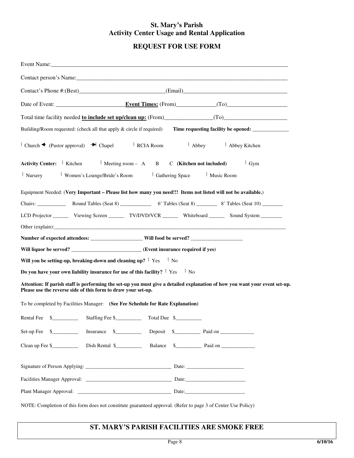#### **St. Mary's Parish Activity Center Usage and Rental Application**

# **REQUEST FOR USE FORM**

| Building/Room requested: (check all that apply & circle if required)                                                                                                                                                              |
|-----------------------------------------------------------------------------------------------------------------------------------------------------------------------------------------------------------------------------------|
| $\uparrow$ Church $\blacktriangleleft$ (Pastor approval) $\blacktriangleright$ Chapel $\uparrow$ RCIA Room<br><sup>1</sup> Abbey <sup>1</sup> Abbey Kitchen                                                                       |
| <b>Activity Center:</b> $\begin{bmatrix} \end{bmatrix}$ Kitchen $\begin{bmatrix} \end{bmatrix}$ Meeting room - A B C (Kitchen not included)<br>$\int$ Gym                                                                         |
| <sup>1</sup> Women's Lounge/Bride's Room <sup>1</sup> Gathering Space <sup>1</sup> Music Room<br><sup>1</sup> Nursery                                                                                                             |
| Equipment Needed: (Very Important - Please list how many you need!!! Items not listed will not be available.)                                                                                                                     |
|                                                                                                                                                                                                                                   |
| LCD Projector ________ Viewing Screen _________ TV/DVD/VCR _________ Whiteboard ________ Sound System _______                                                                                                                     |
| Other (explain): example and the contract of the contract of the contract of the contract of the contract of the contract of the contract of the contract of the contract of the contract of the contract of the contract of t    |
|                                                                                                                                                                                                                                   |
| Will liquor be served? _________________________(Event insurance required if yes)                                                                                                                                                 |
| Will you be setting-up, breaking-down and cleaning up? $\frac{1}{1}$ Yes $\frac{1}{1}$ No                                                                                                                                         |
| Do you have your own liability insurance for use of this facility? $\frac{1}{1}$ Yes $\frac{1}{1}$ No                                                                                                                             |
| Attention: If parish staff is performing the set-up you must give a detailed explanation of how you want your event set-up.<br>Please use the reverse side of this form to draw your set-up.                                      |
| To be completed by Facilities Manager: (See Fee Schedule for Rate Explanation)                                                                                                                                                    |
|                                                                                                                                                                                                                                   |
| Insurance \$ Deposit \$ Paid on<br>$Set-up$ Fee $\quad \quad \text{\_}$                                                                                                                                                           |
| Clean up Fee \$ The Dish Rental \$ The Balance \$ The Paid on The S The Paid on The S The S The Paid on The S The S The Paid on The S The S The S The S The S The S The S The S The S The S The S The S S The S S The S S The S S |
|                                                                                                                                                                                                                                   |
|                                                                                                                                                                                                                                   |
|                                                                                                                                                                                                                                   |
| NOTE: Completion of this form does not constitute guaranteed approval. (Refer to page 3 of Center Use Policy)                                                                                                                     |

#### **ST. MARY'S PARISH FACILITIES ARE SMOKE FREE**